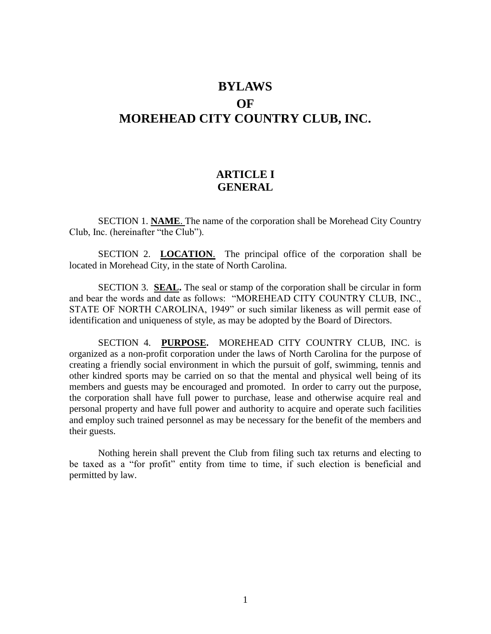# **BYLAWS OF MOREHEAD CITY COUNTRY CLUB, INC.**

### **ARTICLE I GENERAL**

SECTION 1. **NAME**. The name of the corporation shall be Morehead City Country Club, Inc. (hereinafter "the Club").

SECTION 2. **LOCATION**. The principal office of the corporation shall be located in Morehead City, in the state of North Carolina.

SECTION 3. **SEAL.** The seal or stamp of the corporation shall be circular in form and bear the words and date as follows: "MOREHEAD CITY COUNTRY CLUB, INC., STATE OF NORTH CAROLINA, 1949" or such similar likeness as will permit ease of identification and uniqueness of style, as may be adopted by the Board of Directors.

SECTION 4. **PURPOSE.** MOREHEAD CITY COUNTRY CLUB, INC. is organized as a non-profit corporation under the laws of North Carolina for the purpose of creating a friendly social environment in which the pursuit of golf, swimming, tennis and other kindred sports may be carried on so that the mental and physical well being of its members and guests may be encouraged and promoted. In order to carry out the purpose, the corporation shall have full power to purchase, lease and otherwise acquire real and personal property and have full power and authority to acquire and operate such facilities and employ such trained personnel as may be necessary for the benefit of the members and their guests.

Nothing herein shall prevent the Club from filing such tax returns and electing to be taxed as a "for profit" entity from time to time, if such election is beneficial and permitted by law.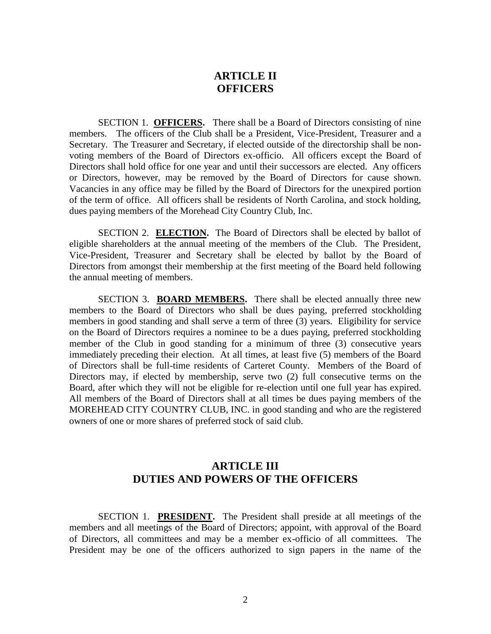### **ARTICLE II OFFICERS**

SECTION 1. **OFFICERS.** There shall be a Board of Directors consisting of nine members. The officers of the Club shall be a President, Vice-President, Treasurer and a Secretary. The Treasurer and Secretary, if elected outside of the directorship shall be nonvoting members of the Board of Directors ex-officio. All officers except the Board of Directors shall hold office for one year and until their successors are elected. Any officers or Directors, however, may be removed by the Board of Directors for cause shown. Vacancies in any office may be filled by the Board of Directors for the unexpired portion of the term of office. All officers shall be residents of North Carolina, and stock holding, dues paying members of the Morehead City Country Club, Inc.

SECTION 2. **ELECTION.** The Board of Directors shall be elected by ballot of eligible shareholders at the annual meeting of the members of the Club. The President, Vice-President, Treasurer and Secretary shall be elected by ballot by the Board of Directors from amongst their membership at the first meeting of the Board held following the annual meeting of members.

SECTION 3. **BOARD MEMBERS.** There shall be elected annually three new members to the Board of Directors who shall be dues paying, preferred stockholding members in good standing and shall serve a term of three (3) years. Eligibility for service on the Board of Directors requires a nominee to be a dues paying, preferred stockholding member of the Club in good standing for a minimum of three (3) consecutive years immediately preceding their election. At all times, at least five (5) members of the Board of Directors shall be full-time residents of Carteret County. Members of the Board of Directors may, if elected by membership, serve two (2) full consecutive terms on the Board, after which they will not be eligible for re-election until one full year has expired. All members of the Board of Directors shall at all times be dues paying members of the MOREHEAD CITY COUNTRY CLUB, INC. in good standing and who are the registered owners of one or more shares of preferred stock of said club.

# **ARTICLE III DUTIES AND POWERS OF THE OFFICERS**

SECTION 1. **PRESIDENT.** The President shall preside at all meetings of the members and all meetings of the Board of Directors; appoint, with approval of the Board of Directors, all committees and may be a member ex-officio of all committees. The President may be one of the officers authorized to sign papers in the name of the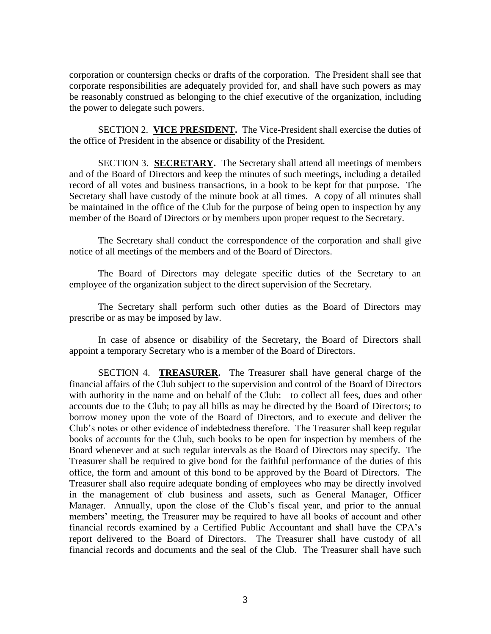corporation or countersign checks or drafts of the corporation. The President shall see that corporate responsibilities are adequately provided for, and shall have such powers as may be reasonably construed as belonging to the chief executive of the organization, including the power to delegate such powers.

SECTION 2. **VICE PRESIDENT**. The Vice-President shall exercise the duties of the office of President in the absence or disability of the President.

SECTION 3. **SECRETARY.** The Secretary shall attend all meetings of members and of the Board of Directors and keep the minutes of such meetings, including a detailed record of all votes and business transactions, in a book to be kept for that purpose. The Secretary shall have custody of the minute book at all times. A copy of all minutes shall be maintained in the office of the Club for the purpose of being open to inspection by any member of the Board of Directors or by members upon proper request to the Secretary.

The Secretary shall conduct the correspondence of the corporation and shall give notice of all meetings of the members and of the Board of Directors.

The Board of Directors may delegate specific duties of the Secretary to an employee of the organization subject to the direct supervision of the Secretary.

The Secretary shall perform such other duties as the Board of Directors may prescribe or as may be imposed by law.

In case of absence or disability of the Secretary, the Board of Directors shall appoint a temporary Secretary who is a member of the Board of Directors.

SECTION 4. **TREASURER.** The Treasurer shall have general charge of the financial affairs of the Club subject to the supervision and control of the Board of Directors with authority in the name and on behalf of the Club: to collect all fees, dues and other accounts due to the Club; to pay all bills as may be directed by the Board of Directors; to borrow money upon the vote of the Board of Directors, and to execute and deliver the Club's notes or other evidence of indebtedness therefore. The Treasurer shall keep regular books of accounts for the Club, such books to be open for inspection by members of the Board whenever and at such regular intervals as the Board of Directors may specify. The Treasurer shall be required to give bond for the faithful performance of the duties of this office, the form and amount of this bond to be approved by the Board of Directors. The Treasurer shall also require adequate bonding of employees who may be directly involved in the management of club business and assets, such as General Manager, Officer Manager. Annually, upon the close of the Club's fiscal year, and prior to the annual members' meeting, the Treasurer may be required to have all books of account and other financial records examined by a Certified Public Accountant and shall have the CPA's report delivered to the Board of Directors. The Treasurer shall have custody of all financial records and documents and the seal of the Club. The Treasurer shall have such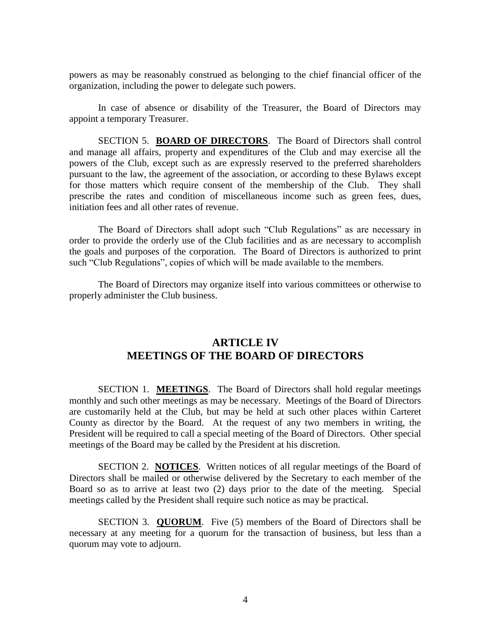powers as may be reasonably construed as belonging to the chief financial officer of the organization, including the power to delegate such powers.

In case of absence or disability of the Treasurer, the Board of Directors may appoint a temporary Treasurer.

SECTION 5. **BOARD OF DIRECTORS**. The Board of Directors shall control and manage all affairs, property and expenditures of the Club and may exercise all the powers of the Club, except such as are expressly reserved to the preferred shareholders pursuant to the law, the agreement of the association, or according to these Bylaws except for those matters which require consent of the membership of the Club. They shall prescribe the rates and condition of miscellaneous income such as green fees, dues, initiation fees and all other rates of revenue.

The Board of Directors shall adopt such "Club Regulations" as are necessary in order to provide the orderly use of the Club facilities and as are necessary to accomplish the goals and purposes of the corporation. The Board of Directors is authorized to print such "Club Regulations", copies of which will be made available to the members.

The Board of Directors may organize itself into various committees or otherwise to properly administer the Club business.

#### **ARTICLE IV MEETINGS OF THE BOARD OF DIRECTORS**

SECTION 1. **MEETINGS**. The Board of Directors shall hold regular meetings monthly and such other meetings as may be necessary. Meetings of the Board of Directors are customarily held at the Club, but may be held at such other places within Carteret County as director by the Board. At the request of any two members in writing, the President will be required to call a special meeting of the Board of Directors. Other special meetings of the Board may be called by the President at his discretion.

SECTION 2. **NOTICES**. Written notices of all regular meetings of the Board of Directors shall be mailed or otherwise delivered by the Secretary to each member of the Board so as to arrive at least two (2) days prior to the date of the meeting. Special meetings called by the President shall require such notice as may be practical.

SECTION 3. **QUORUM**. Five (5) members of the Board of Directors shall be necessary at any meeting for a quorum for the transaction of business, but less than a quorum may vote to adjourn.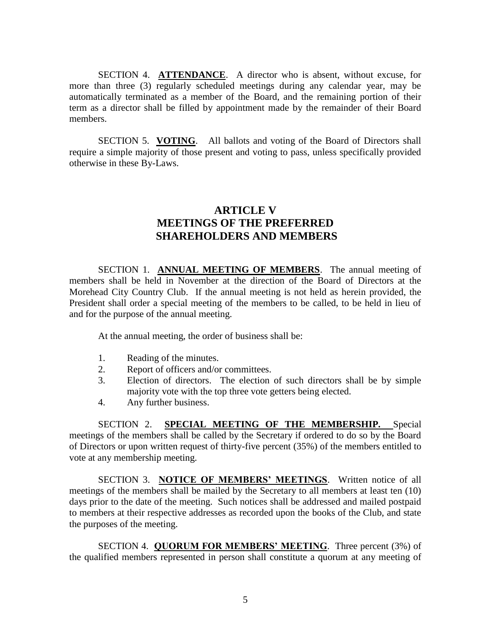SECTION 4. **ATTENDANCE**. A director who is absent, without excuse, for more than three (3) regularly scheduled meetings during any calendar year, may be automatically terminated as a member of the Board, and the remaining portion of their term as a director shall be filled by appointment made by the remainder of their Board members.

SECTION 5. **VOTING**. All ballots and voting of the Board of Directors shall require a simple majority of those present and voting to pass, unless specifically provided otherwise in these By-Laws.

### **ARTICLE V MEETINGS OF THE PREFERRED SHAREHOLDERS AND MEMBERS**

SECTION 1. **ANNUAL MEETING OF MEMBERS**. The annual meeting of members shall be held in November at the direction of the Board of Directors at the Morehead City Country Club. If the annual meeting is not held as herein provided, the President shall order a special meeting of the members to be called, to be held in lieu of and for the purpose of the annual meeting.

At the annual meeting, the order of business shall be:

- 1. Reading of the minutes.
- 2. Report of officers and/or committees.
- 3. Election of directors. The election of such directors shall be by simple majority vote with the top three vote getters being elected.
- 4. Any further business.

SECTION 2. **SPECIAL MEETING OF THE MEMBERSHIP.** Special meetings of the members shall be called by the Secretary if ordered to do so by the Board of Directors or upon written request of thirty-five percent (35%) of the members entitled to vote at any membership meeting.

SECTION 3. **NOTICE OF MEMBERS' MEETINGS**. Written notice of all meetings of the members shall be mailed by the Secretary to all members at least ten (10) days prior to the date of the meeting. Such notices shall be addressed and mailed postpaid to members at their respective addresses as recorded upon the books of the Club, and state the purposes of the meeting.

SECTION 4. **QUORUM FOR MEMBERS' MEETING**. Three percent (3%) of the qualified members represented in person shall constitute a quorum at any meeting of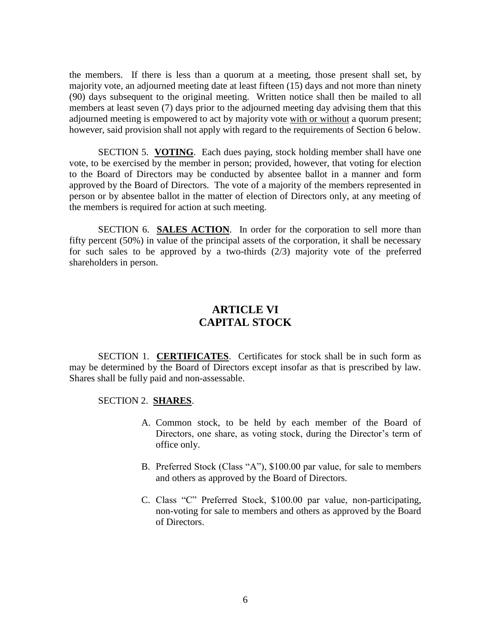the members. If there is less than a quorum at a meeting, those present shall set, by majority vote, an adjourned meeting date at least fifteen (15) days and not more than ninety (90) days subsequent to the original meeting. Written notice shall then be mailed to all members at least seven (7) days prior to the adjourned meeting day advising them that this adjourned meeting is empowered to act by majority vote with or without a quorum present; however, said provision shall not apply with regard to the requirements of Section 6 below.

SECTION 5. **VOTING**. Each dues paying, stock holding member shall have one vote, to be exercised by the member in person; provided, however, that voting for election to the Board of Directors may be conducted by absentee ballot in a manner and form approved by the Board of Directors. The vote of a majority of the members represented in person or by absentee ballot in the matter of election of Directors only, at any meeting of the members is required for action at such meeting.

SECTION 6. **SALES ACTION**. In order for the corporation to sell more than fifty percent (50%) in value of the principal assets of the corporation, it shall be necessary for such sales to be approved by a two-thirds (2/3) majority vote of the preferred shareholders in person.

### **ARTICLE VI CAPITAL STOCK**

SECTION 1. **CERTIFICATES**. Certificates for stock shall be in such form as may be determined by the Board of Directors except insofar as that is prescribed by law. Shares shall be fully paid and non-assessable.

#### SECTION 2. **SHARES**.

- A. Common stock, to be held by each member of the Board of Directors, one share, as voting stock, during the Director's term of office only.
- B. Preferred Stock (Class "A"), \$100.00 par value, for sale to members and others as approved by the Board of Directors.
- C. Class "C" Preferred Stock, \$100.00 par value, non-participating, non-voting for sale to members and others as approved by the Board of Directors.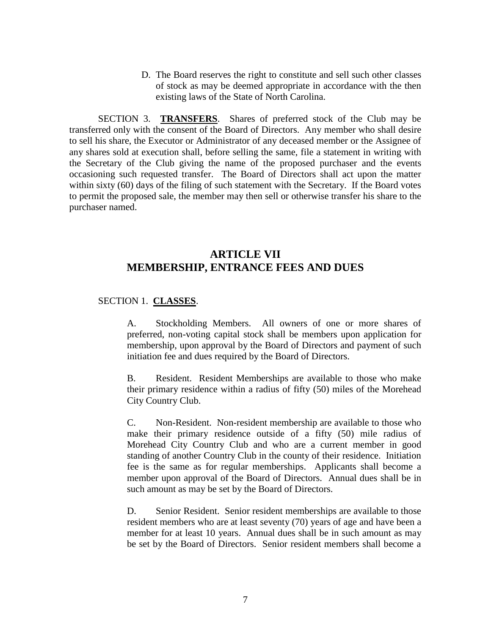D. The Board reserves the right to constitute and sell such other classes of stock as may be deemed appropriate in accordance with the then existing laws of the State of North Carolina.

SECTION 3. **TRANSFERS**. Shares of preferred stock of the Club may be transferred only with the consent of the Board of Directors. Any member who shall desire to sell his share, the Executor or Administrator of any deceased member or the Assignee of any shares sold at execution shall, before selling the same, file a statement in writing with the Secretary of the Club giving the name of the proposed purchaser and the events occasioning such requested transfer. The Board of Directors shall act upon the matter within sixty (60) days of the filing of such statement with the Secretary. If the Board votes to permit the proposed sale, the member may then sell or otherwise transfer his share to the purchaser named.

# **ARTICLE VII MEMBERSHIP, ENTRANCE FEES AND DUES**

#### SECTION 1. **CLASSES**.

A. Stockholding Members. All owners of one or more shares of preferred, non-voting capital stock shall be members upon application for membership, upon approval by the Board of Directors and payment of such initiation fee and dues required by the Board of Directors.

B. Resident. Resident Memberships are available to those who make their primary residence within a radius of fifty (50) miles of the Morehead City Country Club.

C. Non-Resident. Non-resident membership are available to those who make their primary residence outside of a fifty (50) mile radius of Morehead City Country Club and who are a current member in good standing of another Country Club in the county of their residence. Initiation fee is the same as for regular memberships. Applicants shall become a member upon approval of the Board of Directors. Annual dues shall be in such amount as may be set by the Board of Directors.

D. Senior Resident. Senior resident memberships are available to those resident members who are at least seventy (70) years of age and have been a member for at least 10 years. Annual dues shall be in such amount as may be set by the Board of Directors. Senior resident members shall become a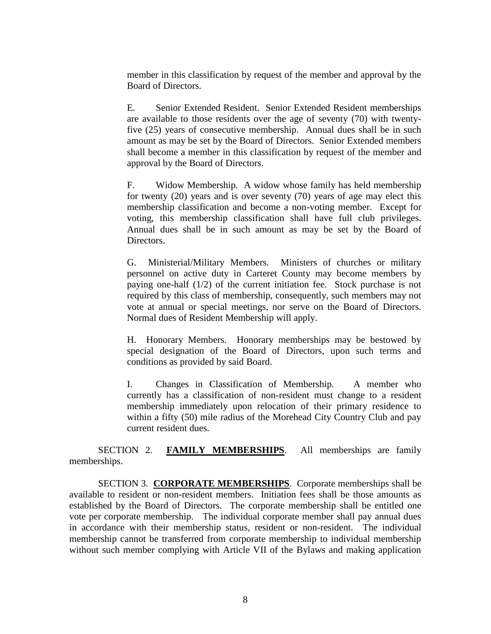member in this classification by request of the member and approval by the Board of Directors.

E. Senior Extended Resident. Senior Extended Resident memberships are available to those residents over the age of seventy (70) with twentyfive (25) years of consecutive membership. Annual dues shall be in such amount as may be set by the Board of Directors. Senior Extended members shall become a member in this classification by request of the member and approval by the Board of Directors.

F. Widow Membership. A widow whose family has held membership for twenty (20) years and is over seventy (70) years of age may elect this membership classification and become a non-voting member. Except for voting, this membership classification shall have full club privileges. Annual dues shall be in such amount as may be set by the Board of Directors.

G. Ministerial/Military Members. Ministers of churches or military personnel on active duty in Carteret County may become members by paying one-half (1/2) of the current initiation fee. Stock purchase is not required by this class of membership, consequently, such members may not vote at annual or special meetings, nor serve on the Board of Directors. Normal dues of Resident Membership will apply.

H. Honorary Members. Honorary memberships may be bestowed by special designation of the Board of Directors, upon such terms and conditions as provided by said Board.

I. Changes in Classification of Membership. A member who currently has a classification of non-resident must change to a resident membership immediately upon relocation of their primary residence to within a fifty (50) mile radius of the Morehead City Country Club and pay current resident dues.

SECTION 2. **FAMILY MEMBERSHIPS**. All memberships are family memberships.

SECTION 3. **CORPORATE MEMBERSHIPS**. Corporate memberships shall be available to resident or non-resident members. Initiation fees shall be those amounts as established by the Board of Directors. The corporate membership shall be entitled one vote per corporate membership. The individual corporate member shall pay annual dues in accordance with their membership status, resident or non-resident. The individual membership cannot be transferred from corporate membership to individual membership without such member complying with Article VII of the Bylaws and making application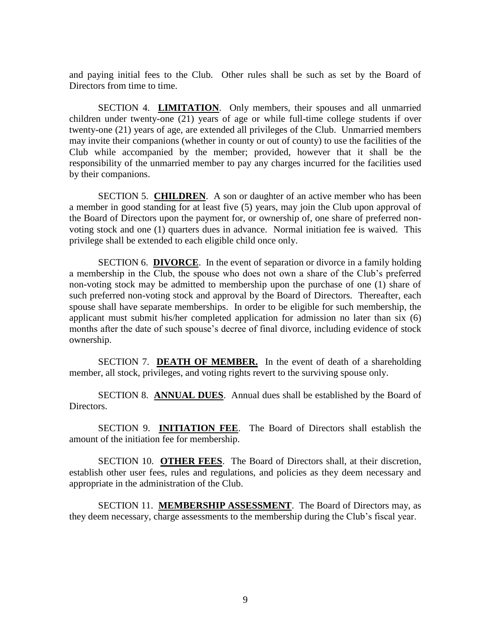and paying initial fees to the Club. Other rules shall be such as set by the Board of Directors from time to time.

SECTION 4. **LIMITATION**. Only members, their spouses and all unmarried children under twenty-one (21) years of age or while full-time college students if over twenty-one (21) years of age, are extended all privileges of the Club. Unmarried members may invite their companions (whether in county or out of county) to use the facilities of the Club while accompanied by the member; provided, however that it shall be the responsibility of the unmarried member to pay any charges incurred for the facilities used by their companions.

SECTION 5. **CHILDREN**. A son or daughter of an active member who has been a member in good standing for at least five (5) years, may join the Club upon approval of the Board of Directors upon the payment for, or ownership of, one share of preferred nonvoting stock and one (1) quarters dues in advance. Normal initiation fee is waived. This privilege shall be extended to each eligible child once only.

SECTION 6. **DIVORCE**. In the event of separation or divorce in a family holding a membership in the Club, the spouse who does not own a share of the Club's preferred non-voting stock may be admitted to membership upon the purchase of one (1) share of such preferred non-voting stock and approval by the Board of Directors. Thereafter, each spouse shall have separate memberships. In order to be eligible for such membership, the applicant must submit his/her completed application for admission no later than six (6) months after the date of such spouse's decree of final divorce, including evidence of stock ownership.

SECTION 7. **DEATH OF MEMBER.** In the event of death of a shareholding member, all stock, privileges, and voting rights revert to the surviving spouse only.

SECTION 8. **ANNUAL DUES**. Annual dues shall be established by the Board of Directors.

SECTION 9. **INITIATION FEE**. The Board of Directors shall establish the amount of the initiation fee for membership.

SECTION 10. **OTHER FEES**. The Board of Directors shall, at their discretion, establish other user fees, rules and regulations, and policies as they deem necessary and appropriate in the administration of the Club.

SECTION 11. **MEMBERSHIP ASSESSMENT**. The Board of Directors may, as they deem necessary, charge assessments to the membership during the Club's fiscal year.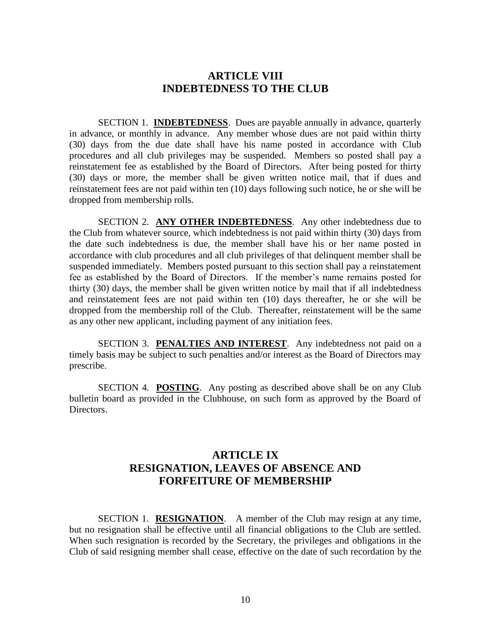#### **ARTICLE VIII INDEBTEDNESS TO THE CLUB**

SECTION 1. **INDEBTEDNESS**. Dues are payable annually in advance, quarterly in advance, or monthly in advance. Any member whose dues are not paid within thirty (30) days from the due date shall have his name posted in accordance with Club procedures and all club privileges may be suspended. Members so posted shall pay a reinstatement fee as established by the Board of Directors. After being posted for thirty (30) days or more, the member shall be given written notice mail, that if dues and reinstatement fees are not paid within ten (10) days following such notice, he or she will be dropped from membership rolls.

SECTION 2. **ANY OTHER INDEBTEDNESS**. Any other indebtedness due to the Club from whatever source, which indebtedness is not paid within thirty (30) days from the date such indebtedness is due, the member shall have his or her name posted in accordance with club procedures and all club privileges of that delinquent member shall be suspended immediately. Members posted pursuant to this section shall pay a reinstatement fee as established by the Board of Directors. If the member's name remains posted for thirty (30) days, the member shall be given written notice by mail that if all indebtedness and reinstatement fees are not paid within ten (10) days thereafter, he or she will be dropped from the membership roll of the Club. Thereafter, reinstatement will be the same as any other new applicant, including payment of any initiation fees.

SECTION 3. **PENALTIES AND INTEREST**. Any indebtedness not paid on a timely basis may be subject to such penalties and/or interest as the Board of Directors may prescribe.

SECTION 4. **POSTING**. Any posting as described above shall be on any Club bulletin board as provided in the Clubhouse, on such form as approved by the Board of Directors.

# **ARTICLE IX RESIGNATION, LEAVES OF ABSENCE AND FORFEITURE OF MEMBERSHIP**

SECTION 1. **RESIGNATION**. A member of the Club may resign at any time, but no resignation shall be effective until all financial obligations to the Club are settled. When such resignation is recorded by the Secretary, the privileges and obligations in the Club of said resigning member shall cease, effective on the date of such recordation by the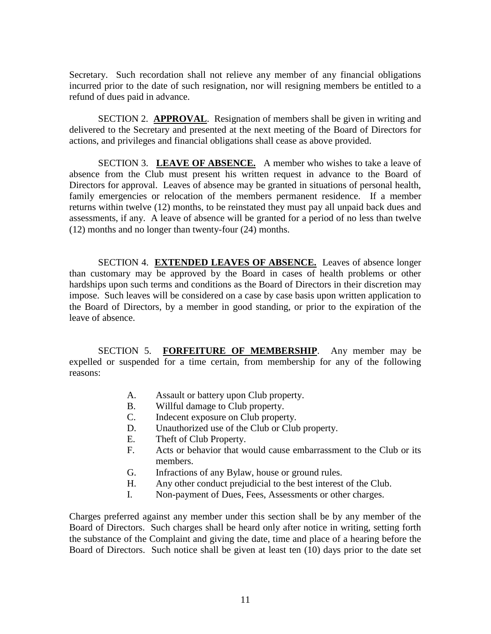Secretary. Such recordation shall not relieve any member of any financial obligations incurred prior to the date of such resignation, nor will resigning members be entitled to a refund of dues paid in advance.

SECTION 2. **APPROVAL**. Resignation of members shall be given in writing and delivered to the Secretary and presented at the next meeting of the Board of Directors for actions, and privileges and financial obligations shall cease as above provided.

SECTION 3. LEAVE OF ABSENCE. A member who wishes to take a leave of absence from the Club must present his written request in advance to the Board of Directors for approval. Leaves of absence may be granted in situations of personal health, family emergencies or relocation of the members permanent residence. If a member returns within twelve (12) months, to be reinstated they must pay all unpaid back dues and assessments, if any. A leave of absence will be granted for a period of no less than twelve (12) months and no longer than twenty-four (24) months.

SECTION 4. **EXTENDED LEAVES OF ABSENCE.** Leaves of absence longer than customary may be approved by the Board in cases of health problems or other hardships upon such terms and conditions as the Board of Directors in their discretion may impose. Such leaves will be considered on a case by case basis upon written application to the Board of Directors, by a member in good standing, or prior to the expiration of the leave of absence.

SECTION 5. **FORFEITURE OF MEMBERSHIP**. Any member may be expelled or suspended for a time certain, from membership for any of the following reasons:

- A. Assault or battery upon Club property.
- B. Willful damage to Club property.
- C. Indecent exposure on Club property.
- D. Unauthorized use of the Club or Club property.
- E. Theft of Club Property.
- F. Acts or behavior that would cause embarrassment to the Club or its members.
- G. Infractions of any Bylaw, house or ground rules.
- H. Any other conduct prejudicial to the best interest of the Club.
- I. Non-payment of Dues, Fees, Assessments or other charges.

Charges preferred against any member under this section shall be by any member of the Board of Directors. Such charges shall be heard only after notice in writing, setting forth the substance of the Complaint and giving the date, time and place of a hearing before the Board of Directors. Such notice shall be given at least ten (10) days prior to the date set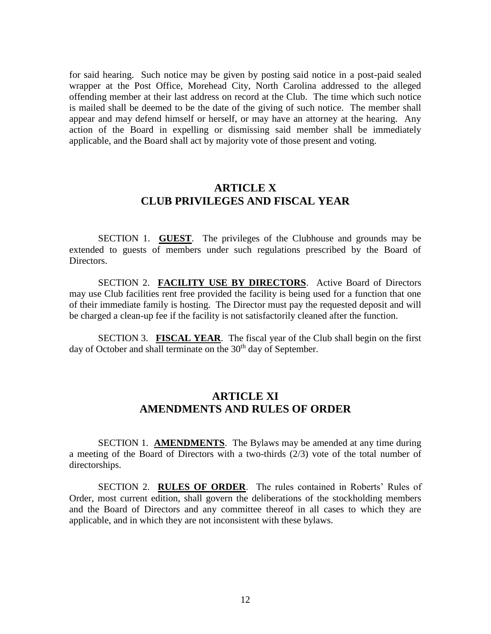for said hearing. Such notice may be given by posting said notice in a post-paid sealed wrapper at the Post Office, Morehead City, North Carolina addressed to the alleged offending member at their last address on record at the Club. The time which such notice is mailed shall be deemed to be the date of the giving of such notice. The member shall appear and may defend himself or herself, or may have an attorney at the hearing. Any action of the Board in expelling or dismissing said member shall be immediately applicable, and the Board shall act by majority vote of those present and voting.

#### **ARTICLE X CLUB PRIVILEGES AND FISCAL YEAR**

SECTION 1. **GUEST**. The privileges of the Clubhouse and grounds may be extended to guests of members under such regulations prescribed by the Board of Directors.

SECTION 2. **FACILITY USE BY DIRECTORS**. Active Board of Directors may use Club facilities rent free provided the facility is being used for a function that one of their immediate family is hosting. The Director must pay the requested deposit and will be charged a clean-up fee if the facility is not satisfactorily cleaned after the function.

SECTION 3. **FISCAL YEAR**. The fiscal year of the Club shall begin on the first day of October and shall terminate on the 30<sup>th</sup> day of September.

# **ARTICLE XI AMENDMENTS AND RULES OF ORDER**

SECTION 1. **AMENDMENTS**. The Bylaws may be amended at any time during a meeting of the Board of Directors with a two-thirds (2/3) vote of the total number of directorships.

SECTION 2. **RULES OF ORDER**. The rules contained in Roberts' Rules of Order, most current edition, shall govern the deliberations of the stockholding members and the Board of Directors and any committee thereof in all cases to which they are applicable, and in which they are not inconsistent with these bylaws.